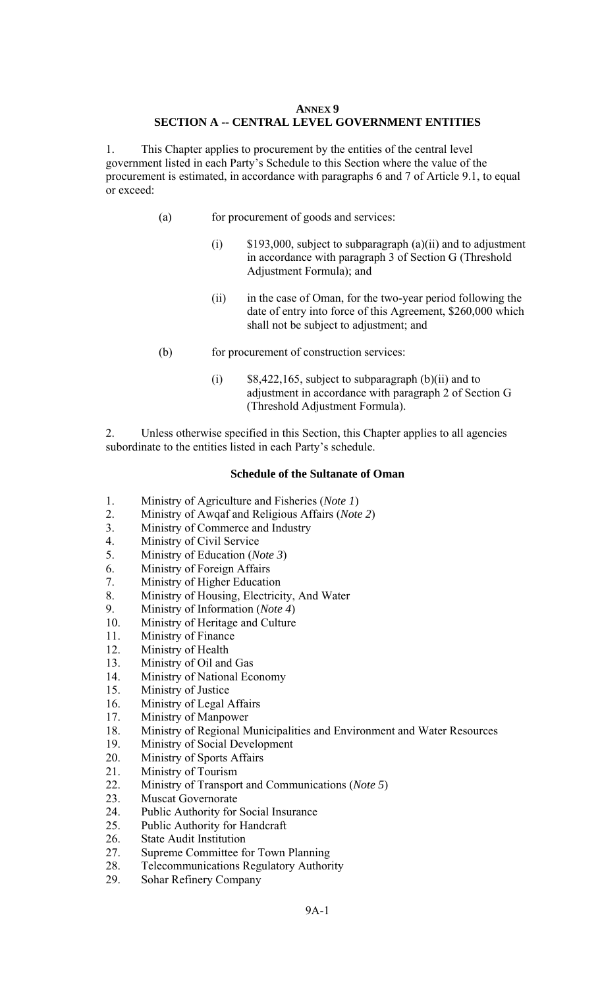# **ANNEX 9 SECTION A -- CENTRAL LEVEL GOVERNMENT ENTITIES**

1. This Chapter applies to procurement by the entities of the central level government listed in each Party's Schedule to this Section where the value of the procurement is estimated, in accordance with paragraphs 6 and 7 of Article 9.1, to equal or exceed:

- (a) for procurement of goods and services:
	- $(i)$  \$193,000, subject to subparagraph  $(a)(ii)$  and to adjustment in accordance with paragraph 3 of Section G (Threshold Adjustment Formula); and
	- (ii) in the case of Oman, for the two-year period following the date of entry into force of this Agreement, \$260,000 which shall not be subject to adjustment; and
- (b) for procurement of construction services:
	- (i)  $$8,422,165$ , subject to subparagraph (b)(ii) and to adjustment in accordance with paragraph 2 of Section G (Threshold Adjustment Formula).

2. Unless otherwise specified in this Section, this Chapter applies to all agencies subordinate to the entities listed in each Party's schedule.

#### **Schedule of the Sultanate of Oman**

- 1. Ministry of Agriculture and Fisheries (*Note 1*)
- 2. Ministry of Awqaf and Religious Affairs (*Note 2*)
- 3. Ministry of Commerce and Industry
- 4. Ministry of Civil Service
- 5. Ministry of Education (*Note 3*)
- 6. Ministry of Foreign Affairs
- 7. Ministry of Higher Education
- 8. Ministry of Housing, Electricity, And Water
- 9. Ministry of Information (*Note 4*)
- 10. Ministry of Heritage and Culture
- 11. Ministry of Finance
- 12. Ministry of Health
- 13. Ministry of Oil and Gas
- 14. Ministry of National Economy
- 15. Ministry of Justice
- 16. Ministry of Legal Affairs
- 17. Ministry of Manpower
- 18. Ministry of Regional Municipalities and Environment and Water Resources
- 19. Ministry of Social Development
- 20. Ministry of Sports Affairs
- 21. Ministry of Tourism
- 22. Ministry of Transport and Communications (*Note 5*)
- 23. Muscat Governorate
- 24. Public Authority for Social Insurance
- 25. Public Authority for Handcraft
- 26. State Audit Institution
- 27. Supreme Committee for Town Planning
- 28. Telecommunications Regulatory Authority
- 29. Sohar Refinery Company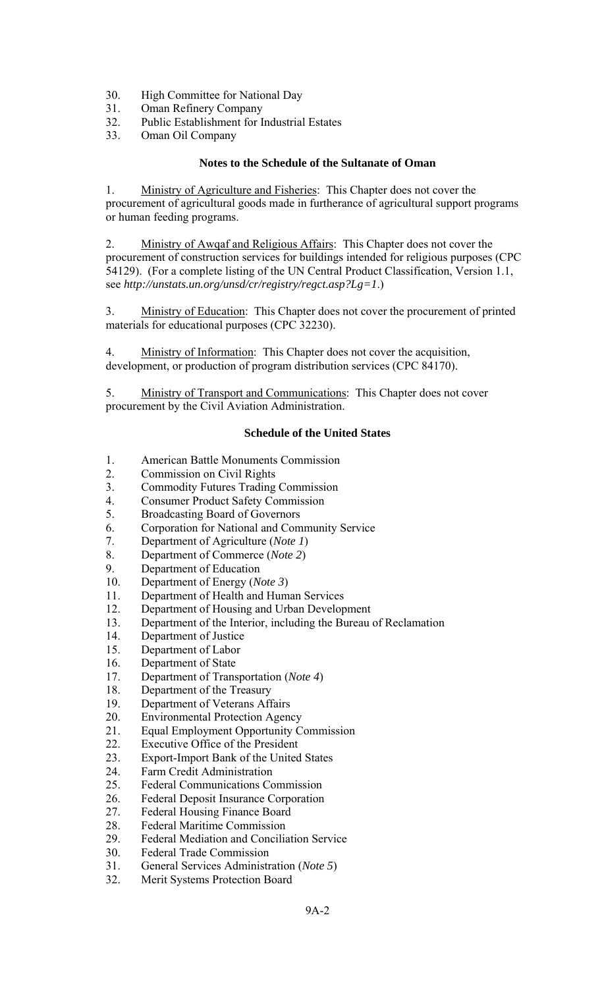- 30. High Committee for National Day
- 31. Oman Refinery Company
- 32. Public Establishment for Industrial Estates
- 33. Oman Oil Company

## **Notes to the Schedule of the Sultanate of Oman**

1. Ministry of Agriculture and Fisheries: This Chapter does not cover the procurement of agricultural goods made in furtherance of agricultural support programs or human feeding programs.

2. Ministry of Awqaf and Religious Affairs: This Chapter does not cover the procurement of construction services for buildings intended for religious purposes (CPC 54129). (For a complete listing of the UN Central Product Classification, Version 1.1, see *http://unstats.un.org/unsd/cr/registry/regct.asp?Lg=1*.)

3. Ministry of Education: This Chapter does not cover the procurement of printed materials for educational purposes (CPC 32230).

4. Ministry of Information: This Chapter does not cover the acquisition, development, or production of program distribution services (CPC 84170).

5. Ministry of Transport and Communications: This Chapter does not cover procurement by the Civil Aviation Administration.

#### **Schedule of the United States**

- 1. American Battle Monuments Commission
- 2. Commission on Civil Rights
- 3. Commodity Futures Trading Commission
- 4. Consumer Product Safety Commission
- 5. Broadcasting Board of Governors
- 6. Corporation for National and Community Service
- 7. Department of Agriculture (*Note 1*)
- 8. Department of Commerce (*Note 2*)
- 9. Department of Education
- 10. Department of Energy (*Note 3*)
- 11. Department of Health and Human Services
- 12. Department of Housing and Urban Development
- 13. Department of the Interior, including the Bureau of Reclamation
- 14. Department of Justice
- 15. Department of Labor
- 16. Department of State
- 17. Department of Transportation (*Note 4*)
- 18. Department of the Treasury
- 19. Department of Veterans Affairs
- 20. Environmental Protection Agency
- 21. Equal Employment Opportunity Commission
- 22. Executive Office of the President
- 23. Export-Import Bank of the United States
- 24. Farm Credit Administration
- 25. Federal Communications Commission<br>26 Federal Deposit Insurance Corporation
- 26. Federal Deposit Insurance Corporation<br>27. Federal Housing Finance Board
- Federal Housing Finance Board
- 28. Federal Maritime Commission
- 29. Federal Mediation and Conciliation Service
- 30. Federal Trade Commission
- 31. General Services Administration (*Note 5*)
- 32. Merit Systems Protection Board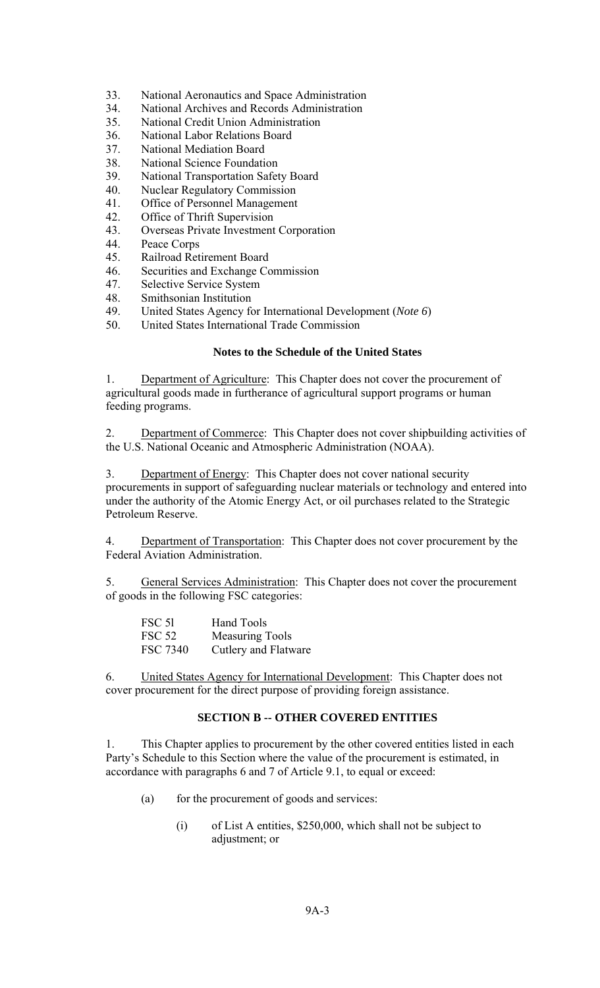- 33. National Aeronautics and Space Administration
- 34. National Archives and Records Administration
- 35. National Credit Union Administration
- 36. National Labor Relations Board
- 37. National Mediation Board<br>38. National Science Foundati
- National Science Foundation
- 39. National Transportation Safety Board
- 40. Nuclear Regulatory Commission
- 41. Office of Personnel Management
- 42. Office of Thrift Supervision
- 43. Overseas Private Investment Corporation
- 44. Peace Corps
- 45. Railroad Retirement Board
- 46. Securities and Exchange Commission
- 47. Selective Service System
- 48. Smithsonian Institution
- 49. United States Agency for International Development (*Note 6*)
- 50. United States International Trade Commission

### **Notes to the Schedule of the United States**

1. Department of Agriculture: This Chapter does not cover the procurement of agricultural goods made in furtherance of agricultural support programs or human feeding programs.

2. Department of Commerce: This Chapter does not cover shipbuilding activities of the U.S. National Oceanic and Atmospheric Administration (NOAA).

3. Department of Energy: This Chapter does not cover national security procurements in support of safeguarding nuclear materials or technology and entered into under the authority of the Atomic Energy Act, or oil purchases related to the Strategic Petroleum Reserve.

4. Department of Transportation: This Chapter does not cover procurement by the Federal Aviation Administration.

5. General Services Administration: This Chapter does not cover the procurement of goods in the following FSC categories:

| <b>FSC 51</b>   | Hand Tools             |
|-----------------|------------------------|
| FSC 52          | <b>Measuring Tools</b> |
| <b>FSC 7340</b> | Cutlery and Flatware   |

6. United States Agency for International Development: This Chapter does not cover procurement for the direct purpose of providing foreign assistance.

# **SECTION B -- OTHER COVERED ENTITIES**

1. This Chapter applies to procurement by the other covered entities listed in each Party's Schedule to this Section where the value of the procurement is estimated, in accordance with paragraphs 6 and 7 of Article 9.1, to equal or exceed:

- (a) for the procurement of goods and services:
	- (i) of List A entities, \$250,000, which shall not be subject to adjustment; or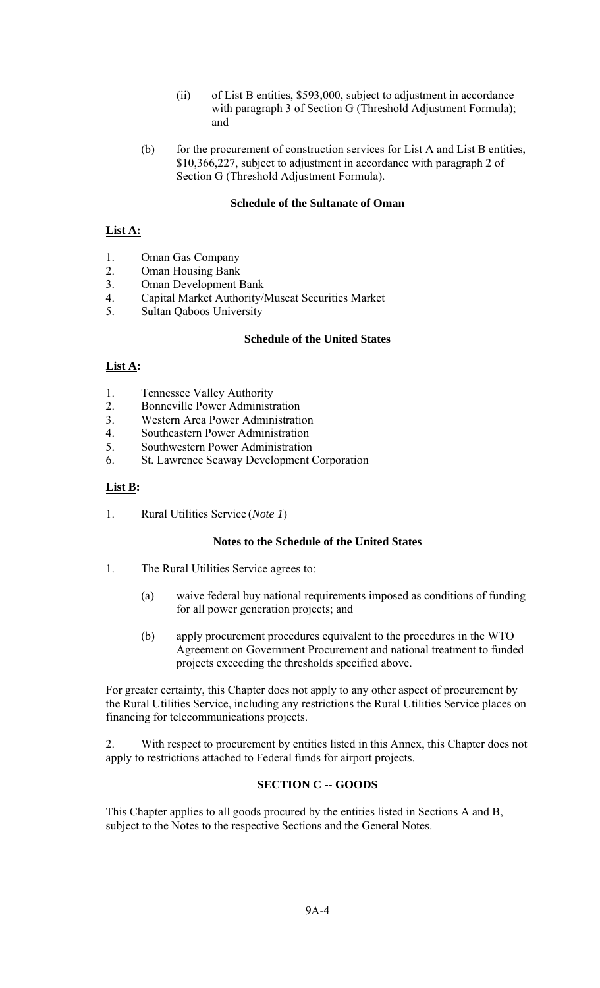- (ii) of List B entities, \$593,000, subject to adjustment in accordance with paragraph 3 of Section G (Threshold Adjustment Formula); and
- (b) for the procurement of construction services for List A and List B entities, \$10,366,227, subject to adjustment in accordance with paragraph 2 of Section G (Threshold Adjustment Formula).

## **Schedule of the Sultanate of Oman**

# **List A:**

- 1. Oman Gas Company
- 2. Oman Housing Bank
- 3. Oman Development Bank
- 4. Capital Market Authority/Muscat Securities Market
- 5. Sultan Qaboos University

## **Schedule of the United States**

# List **A**:

- 1. Tennessee Valley Authority
- 2. Bonneville Power Administration
- 3. Western Area Power Administration
- 4. Southeastern Power Administration
- 5. Southwestern Power Administration
- 6. St. Lawrence Seaway Development Corporation

# **List B:**

1. Rural Utilities Service (*Note 1*)

## **Notes to the Schedule of the United States**

- 1. The Rural Utilities Service agrees to:
	- (a) waive federal buy national requirements imposed as conditions of funding for all power generation projects; and
	- (b) apply procurement procedures equivalent to the procedures in the WTO Agreement on Government Procurement and national treatment to funded projects exceeding the thresholds specified above.

For greater certainty, this Chapter does not apply to any other aspect of procurement by the Rural Utilities Service, including any restrictions the Rural Utilities Service places on financing for telecommunications projects.

2. With respect to procurement by entities listed in this Annex, this Chapter does not apply to restrictions attached to Federal funds for airport projects.

# **SECTION C -- GOODS**

This Chapter applies to all goods procured by the entities listed in Sections A and B, subject to the Notes to the respective Sections and the General Notes.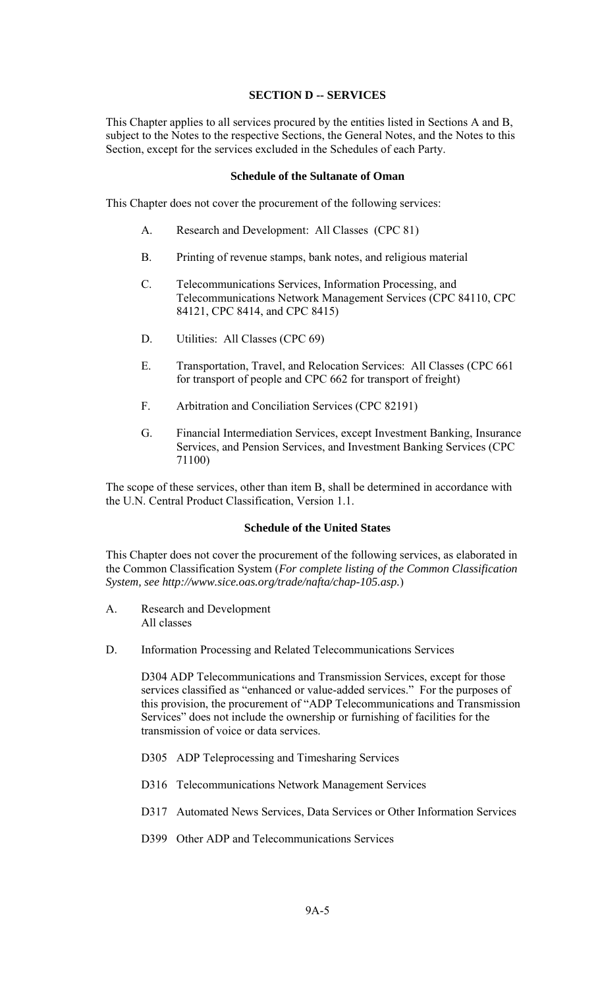#### **SECTION D -- SERVICES**

This Chapter applies to all services procured by the entities listed in Sections A and B, subject to the Notes to the respective Sections, the General Notes, and the Notes to this Section, except for the services excluded in the Schedules of each Party.

### **Schedule of the Sultanate of Oman**

This Chapter does not cover the procurement of the following services:

- A. Research and Development: All Classes (CPC 81)
- B. Printing of revenue stamps, bank notes, and religious material
- C. Telecommunications Services, Information Processing, and Telecommunications Network Management Services (CPC 84110, CPC 84121, CPC 8414, and CPC 8415)
- D. Utilities: All Classes (CPC 69)
- E. Transportation, Travel, and Relocation Services: All Classes (CPC 661 for transport of people and CPC 662 for transport of freight)
- F. Arbitration and Conciliation Services (CPC 82191)
- G. Financial Intermediation Services, except Investment Banking, Insurance Services, and Pension Services, and Investment Banking Services (CPC 71100)

The scope of these services, other than item B, shall be determined in accordance with the U.N. Central Product Classification, Version 1.1.

#### **Schedule of the United States**

This Chapter does not cover the procurement of the following services, as elaborated in the Common Classification System (*For complete listing of the Common Classification System, see http://www.sice.oas.org/trade/nafta/chap-105.asp.*)

- A. Research and Development All classes
- D. Information Processing and Related Telecommunications Services

D304 ADP Telecommunications and Transmission Services, except for those services classified as "enhanced or value-added services." For the purposes of this provision, the procurement of "ADP Telecommunications and Transmission Services" does not include the ownership or furnishing of facilities for the transmission of voice or data services.

- D305 ADP Teleprocessing and Timesharing Services
- D316 Telecommunications Network Management Services
- D317 Automated News Services, Data Services or Other Information Services
- D399 Other ADP and Telecommunications Services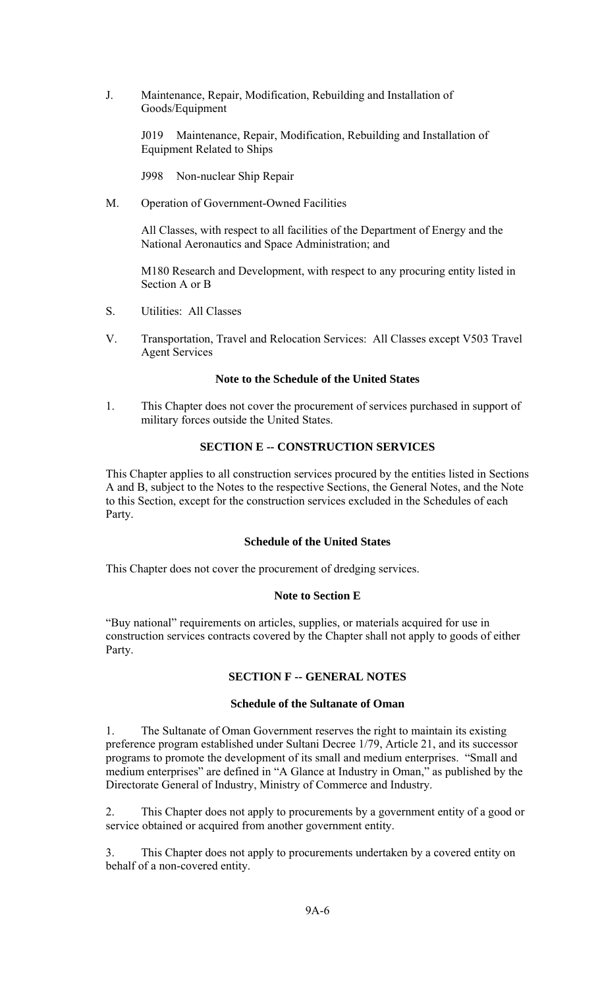J. Maintenance, Repair, Modification, Rebuilding and Installation of Goods/Equipment

> J019 Maintenance, Repair, Modification, Rebuilding and Installation of Equipment Related to Ships

J998 Non-nuclear Ship Repair

M. Operation of Government-Owned Facilities

All Classes, with respect to all facilities of the Department of Energy and the National Aeronautics and Space Administration; and

 M180 Research and Development, with respect to any procuring entity listed in Section A or B

- S. Utilities: All Classes
- V. Transportation, Travel and Relocation Services: All Classes except V503 Travel Agent Services

# **Note to the Schedule of the United States**

1. This Chapter does not cover the procurement of services purchased in support of military forces outside the United States.

## **SECTION E -- CONSTRUCTION SERVICES**

This Chapter applies to all construction services procured by the entities listed in Sections A and B, subject to the Notes to the respective Sections, the General Notes, and the Note to this Section, except for the construction services excluded in the Schedules of each Party.

## **Schedule of the United States**

This Chapter does not cover the procurement of dredging services.

## **Note to Section E**

"Buy national" requirements on articles, supplies, or materials acquired for use in construction services contracts covered by the Chapter shall not apply to goods of either Party.

## **SECTION F -- GENERAL NOTES**

## **Schedule of the Sultanate of Oman**

1. The Sultanate of Oman Government reserves the right to maintain its existing preference program established under Sultani Decree 1/79, Article 21, and its successor programs to promote the development of its small and medium enterprises. "Small and medium enterprises" are defined in "A Glance at Industry in Oman," as published by the Directorate General of Industry, Ministry of Commerce and Industry.

2. This Chapter does not apply to procurements by a government entity of a good or service obtained or acquired from another government entity.

3. This Chapter does not apply to procurements undertaken by a covered entity on behalf of a non-covered entity.